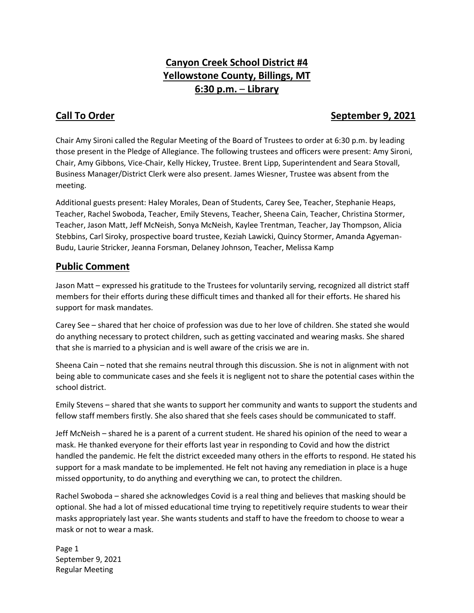# **Canyon Creek School District #4 Yellowstone County, Billings, MT 6:30 p.m.** – **Library**

## **Call To Order September 9, 2021**

Chair Amy Sironi called the Regular Meeting of the Board of Trustees to order at 6:30 p.m. by leading those present in the Pledge of Allegiance. The following trustees and officers were present: Amy Sironi, Chair, Amy Gibbons, Vice-Chair, Kelly Hickey, Trustee. Brent Lipp, Superintendent and Seara Stovall, Business Manager/District Clerk were also present. James Wiesner, Trustee was absent from the meeting.

Additional guests present: Haley Morales, Dean of Students, Carey See, Teacher, Stephanie Heaps, Teacher, Rachel Swoboda, Teacher, Emily Stevens, Teacher, Sheena Cain, Teacher, Christina Stormer, Teacher, Jason Matt, Jeff McNeish, Sonya McNeish, Kaylee Trentman, Teacher, Jay Thompson, Alicia Stebbins, Carl Siroky, prospective board trustee, Keziah Lawicki, Quincy Stormer, Amanda Agyeman-Budu, Laurie Stricker, Jeanna Forsman, Delaney Johnson, Teacher, Melissa Kamp

### **Public Comment**

Jason Matt – expressed his gratitude to the Trustees for voluntarily serving, recognized all district staff members for their efforts during these difficult times and thanked all for their efforts. He shared his support for mask mandates.

Carey See – shared that her choice of profession was due to her love of children. She stated she would do anything necessary to protect children, such as getting vaccinated and wearing masks. She shared that she is married to a physician and is well aware of the crisis we are in.

Sheena Cain – noted that she remains neutral through this discussion. She is not in alignment with not being able to communicate cases and she feels it is negligent not to share the potential cases within the school district.

Emily Stevens – shared that she wants to support her community and wants to support the students and fellow staff members firstly. She also shared that she feels cases should be communicated to staff.

Jeff McNeish – shared he is a parent of a current student. He shared his opinion of the need to wear a mask. He thanked everyone for their efforts last year in responding to Covid and how the district handled the pandemic. He felt the district exceeded many others in the efforts to respond. He stated his support for a mask mandate to be implemented. He felt not having any remediation in place is a huge missed opportunity, to do anything and everything we can, to protect the children.

Rachel Swoboda – shared she acknowledges Covid is a real thing and believes that masking should be optional. She had a lot of missed educational time trying to repetitively require students to wear their masks appropriately last year. She wants students and staff to have the freedom to choose to wear a mask or not to wear a mask.

Page 1 September 9, 2021 Regular Meeting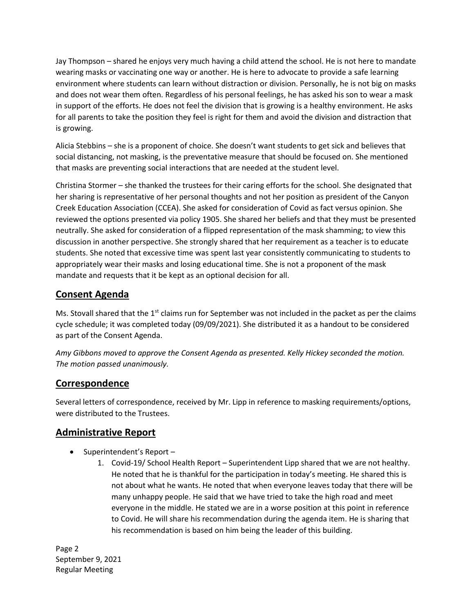Jay Thompson – shared he enjoys very much having a child attend the school. He is not here to mandate wearing masks or vaccinating one way or another. He is here to advocate to provide a safe learning environment where students can learn without distraction or division. Personally, he is not big on masks and does not wear them often. Regardless of his personal feelings, he has asked his son to wear a mask in support of the efforts. He does not feel the division that is growing is a healthy environment. He asks for all parents to take the position they feel is right for them and avoid the division and distraction that is growing.

Alicia Stebbins – she is a proponent of choice. She doesn't want students to get sick and believes that social distancing, not masking, is the preventative measure that should be focused on. She mentioned that masks are preventing social interactions that are needed at the student level.

Christina Stormer – she thanked the trustees for their caring efforts for the school. She designated that her sharing is representative of her personal thoughts and not her position as president of the Canyon Creek Education Association (CCEA). She asked for consideration of Covid as fact versus opinion. She reviewed the options presented via policy 1905. She shared her beliefs and that they must be presented neutrally. She asked for consideration of a flipped representation of the mask shamming; to view this discussion in another perspective. She strongly shared that her requirement as a teacher is to educate students. She noted that excessive time was spent last year consistently communicating to students to appropriately wear their masks and losing educational time. She is not a proponent of the mask mandate and requests that it be kept as an optional decision for all.

## **Consent Agenda**

Ms. Stovall shared that the  $1<sup>st</sup>$  claims run for September was not included in the packet as per the claims cycle schedule; it was completed today (09/09/2021). She distributed it as a handout to be considered as part of the Consent Agenda.

*Amy Gibbons moved to approve the Consent Agenda as presented. Kelly Hickey seconded the motion. The motion passed unanimously.* 

#### **Correspondence**

Several letters of correspondence, received by Mr. Lipp in reference to masking requirements/options, were distributed to the Trustees.

#### **Administrative Report**

- $\bullet$  Superintendent's Report -
	- 1. Covid-19/ School Health Report Superintendent Lipp shared that we are not healthy. He noted that he is thankful for the participation in today's meeting. He shared this is not about what he wants. He noted that when everyone leaves today that there will be many unhappy people. He said that we have tried to take the high road and meet everyone in the middle. He stated we are in a worse position at this point in reference to Covid. He will share his recommendation during the agenda item. He is sharing that his recommendation is based on him being the leader of this building.

Page 2 September 9, 2021 Regular Meeting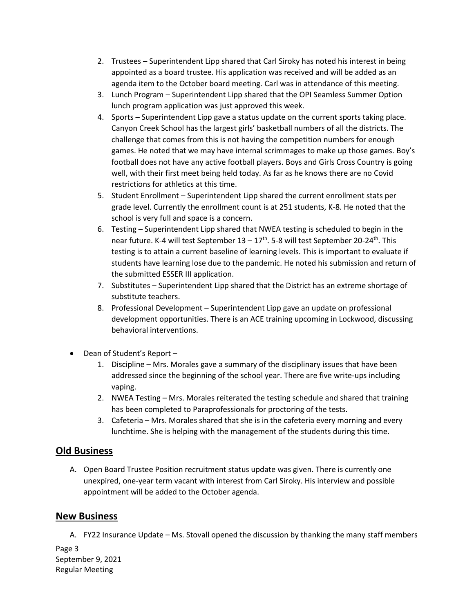- 2. Trustees Superintendent Lipp shared that Carl Siroky has noted his interest in being appointed as a board trustee. His application was received and will be added as an agenda item to the October board meeting. Carl was in attendance of this meeting.
- 3. Lunch Program Superintendent Lipp shared that the OPI Seamless Summer Option lunch program application was just approved this week.
- 4. Sports Superintendent Lipp gave a status update on the current sports taking place. Canyon Creek School has the largest girls' basketball numbers of all the districts. The challenge that comes from this is not having the competition numbers for enough games. He noted that we may have internal scrimmages to make up those games. Boy's football does not have any active football players. Boys and Girls Cross Country is going well, with their first meet being held today. As far as he knows there are no Covid restrictions for athletics at this time.
- 5. Student Enrollment Superintendent Lipp shared the current enrollment stats per grade level. Currently the enrollment count is at 251 students, K-8. He noted that the school is very full and space is a concern.
- 6. Testing Superintendent Lipp shared that NWEA testing is scheduled to begin in the near future. K-4 will test September 13 – 17<sup>th</sup>. 5-8 will test September 20-24<sup>th</sup>. This testing is to attain a current baseline of learning levels. This is important to evaluate if students have learning lose due to the pandemic. He noted his submission and return of the submitted ESSER III application.
- 7. Substitutes Superintendent Lipp shared that the District has an extreme shortage of substitute teachers.
- 8. Professional Development Superintendent Lipp gave an update on professional development opportunities. There is an ACE training upcoming in Lockwood, discussing behavioral interventions.
- Dean of Student's Report
	- 1. Discipline Mrs. Morales gave a summary of the disciplinary issues that have been addressed since the beginning of the school year. There are five write-ups including vaping.
	- 2. NWEA Testing Mrs. Morales reiterated the testing schedule and shared that training has been completed to Paraprofessionals for proctoring of the tests.
	- 3. Cafeteria Mrs. Morales shared that she is in the cafeteria every morning and every lunchtime. She is helping with the management of the students during this time.

#### **Old Business**

A. Open Board Trustee Position recruitment status update was given. There is currently one unexpired, one-year term vacant with interest from Carl Siroky. His interview and possible appointment will be added to the October agenda.

#### **New Business**

A. FY22 Insurance Update – Ms. Stovall opened the discussion by thanking the many staff members

Page 3 September 9, 2021 Regular Meeting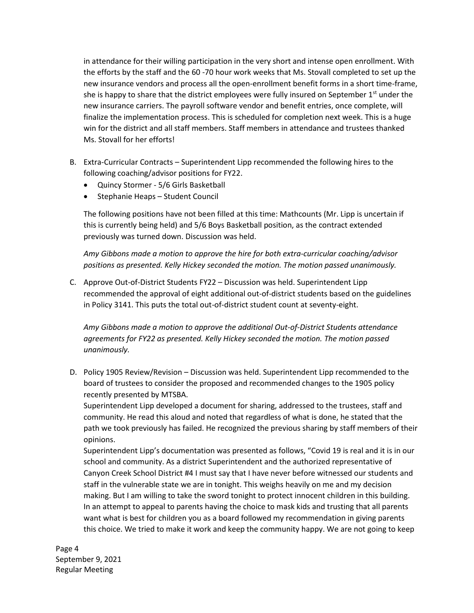in attendance for their willing participation in the very short and intense open enrollment. With the efforts by the staff and the 60 -70 hour work weeks that Ms. Stovall completed to set up the new insurance vendors and process all the open-enrollment benefit forms in a short time-frame, she is happy to share that the district employees were fully insured on September  $1<sup>st</sup>$  under the new insurance carriers. The payroll software vendor and benefit entries, once complete, will finalize the implementation process. This is scheduled for completion next week. This is a huge win for the district and all staff members. Staff members in attendance and trustees thanked Ms. Stovall for her efforts!

- B. Extra-Curricular Contracts Superintendent Lipp recommended the following hires to the following coaching/advisor positions for FY22.
	- Quincy Stormer 5/6 Girls Basketball
	- Stephanie Heaps Student Council

The following positions have not been filled at this time: Mathcounts (Mr. Lipp is uncertain if this is currently being held) and 5/6 Boys Basketball position, as the contract extended previously was turned down. Discussion was held.

*Amy Gibbons made a motion to approve the hire for both extra-curricular coaching/advisor positions as presented. Kelly Hickey seconded the motion. The motion passed unanimously.*

C. Approve Out-of-District Students FY22 – Discussion was held. Superintendent Lipp recommended the approval of eight additional out-of-district students based on the guidelines in Policy 3141. This puts the total out-of-district student count at seventy-eight.

*Amy Gibbons made a motion to approve the additional Out-of-District Students attendance agreements for FY22 as presented. Kelly Hickey seconded the motion. The motion passed unanimously.*

D. Policy 1905 Review/Revision – Discussion was held. Superintendent Lipp recommended to the board of trustees to consider the proposed and recommended changes to the 1905 policy recently presented by MTSBA.

Superintendent Lipp developed a document for sharing, addressed to the trustees, staff and community. He read this aloud and noted that regardless of what is done, he stated that the path we took previously has failed. He recognized the previous sharing by staff members of their opinions.

Superintendent Lipp's documentation was presented as follows, "Covid 19 is real and it is in our school and community. As a district Superintendent and the authorized representative of Canyon Creek School District #4 I must say that I have never before witnessed our students and staff in the vulnerable state we are in tonight. This weighs heavily on me and my decision making. But I am willing to take the sword tonight to protect innocent children in this building. In an attempt to appeal to parents having the choice to mask kids and trusting that all parents want what is best for children you as a board followed my recommendation in giving parents this choice. We tried to make it work and keep the community happy. We are not going to keep

Page 4 September 9, 2021 Regular Meeting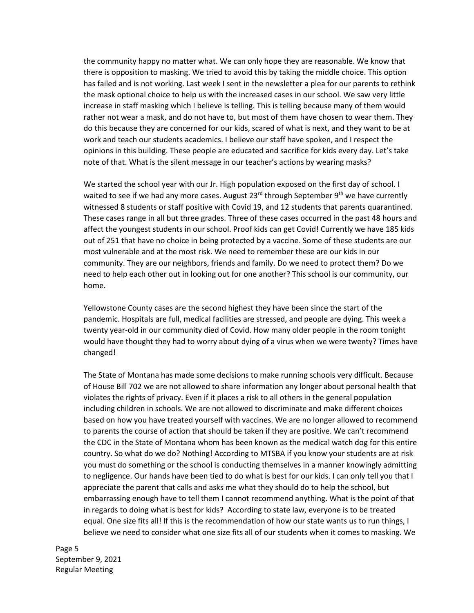the community happy no matter what. We can only hope they are reasonable. We know that there is opposition to masking. We tried to avoid this by taking the middle choice. This option has failed and is not working. Last week I sent in the newsletter a plea for our parents to rethink the mask optional choice to help us with the increased cases in our school. We saw very little increase in staff masking which I believe is telling. This is telling because many of them would rather not wear a mask, and do not have to, but most of them have chosen to wear them. They do this because they are concerned for our kids, scared of what is next, and they want to be at work and teach our students academics. I believe our staff have spoken, and I respect the opinions in this building. These people are educated and sacrifice for kids every day. Let's take note of that. What is the silent message in our teacher's actions by wearing masks?

We started the school year with our Jr. High population exposed on the first day of school. I waited to see if we had any more cases. August 23<sup>rd</sup> through September 9<sup>th</sup> we have currently witnessed 8 students or staff positive with Covid 19, and 12 students that parents quarantined. These cases range in all but three grades. Three of these cases occurred in the past 48 hours and affect the youngest students in our school. Proof kids can get Covid! Currently we have 185 kids out of 251 that have no choice in being protected by a vaccine. Some of these students are our most vulnerable and at the most risk. We need to remember these are our kids in our community. They are our neighbors, friends and family. Do we need to protect them? Do we need to help each other out in looking out for one another? This school is our community, our home.

Yellowstone County cases are the second highest they have been since the start of the pandemic. Hospitals are full, medical facilities are stressed, and people are dying. This week a twenty year-old in our community died of Covid. How many older people in the room tonight would have thought they had to worry about dying of a virus when we were twenty? Times have changed!

The State of Montana has made some decisions to make running schools very difficult. Because of House Bill 702 we are not allowed to share information any longer about personal health that violates the rights of privacy. Even if it places a risk to all others in the general population including children in schools. We are not allowed to discriminate and make different choices based on how you have treated yourself with vaccines. We are no longer allowed to recommend to parents the course of action that should be taken if they are positive. We can't recommend the CDC in the State of Montana whom has been known as the medical watch dog for this entire country. So what do we do? Nothing! According to MTSBA if you know your students are at risk you must do something or the school is conducting themselves in a manner knowingly admitting to negligence. Our hands have been tied to do what is best for our kids. I can only tell you that I appreciate the parent that calls and asks me what they should do to help the school, but embarrassing enough have to tell them I cannot recommend anything. What is the point of that in regards to doing what is best for kids? According to state law, everyone is to be treated equal. One size fits all! If this is the recommendation of how our state wants us to run things, I believe we need to consider what one size fits all of our students when it comes to masking. We

Page 5 September 9, 2021 Regular Meeting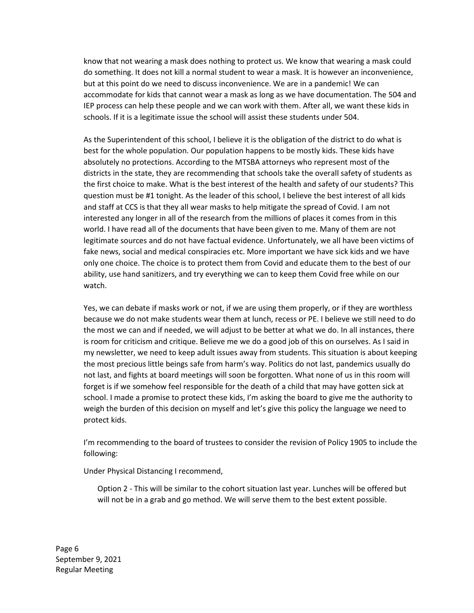know that not wearing a mask does nothing to protect us. We know that wearing a mask could do something. It does not kill a normal student to wear a mask. It is however an inconvenience, but at this point do we need to discuss inconvenience. We are in a pandemic! We can accommodate for kids that cannot wear a mask as long as we have documentation. The 504 and IEP process can help these people and we can work with them. After all, we want these kids in schools. If it is a legitimate issue the school will assist these students under 504.

As the Superintendent of this school, I believe it is the obligation of the district to do what is best for the whole population. Our population happens to be mostly kids. These kids have absolutely no protections. According to the MTSBA attorneys who represent most of the districts in the state, they are recommending that schools take the overall safety of students as the first choice to make. What is the best interest of the health and safety of our students? This question must be #1 tonight. As the leader of this school, I believe the best interest of all kids and staff at CCS is that they all wear masks to help mitigate the spread of Covid. I am not interested any longer in all of the research from the millions of places it comes from in this world. I have read all of the documents that have been given to me. Many of them are not legitimate sources and do not have factual evidence. Unfortunately, we all have been victims of fake news, social and medical conspiracies etc. More important we have sick kids and we have only one choice. The choice is to protect them from Covid and educate them to the best of our ability, use hand sanitizers, and try everything we can to keep them Covid free while on our watch.

Yes, we can debate if masks work or not, if we are using them properly, or if they are worthless because we do not make students wear them at lunch, recess or PE. I believe we still need to do the most we can and if needed, we will adjust to be better at what we do. In all instances, there is room for criticism and critique. Believe me we do a good job of this on ourselves. As I said in my newsletter, we need to keep adult issues away from students. This situation is about keeping the most precious little beings safe from harm's way. Politics do not last, pandemics usually do not last, and fights at board meetings will soon be forgotten. What none of us in this room will forget is if we somehow feel responsible for the death of a child that may have gotten sick at school. I made a promise to protect these kids, I'm asking the board to give me the authority to weigh the burden of this decision on myself and let's give this policy the language we need to protect kids.

I'm recommending to the board of trustees to consider the revision of Policy 1905 to include the following:

Under Physical Distancing I recommend,

Option 2 - This will be similar to the cohort situation last year. Lunches will be offered but will not be in a grab and go method. We will serve them to the best extent possible.

Page 6 September 9, 2021 Regular Meeting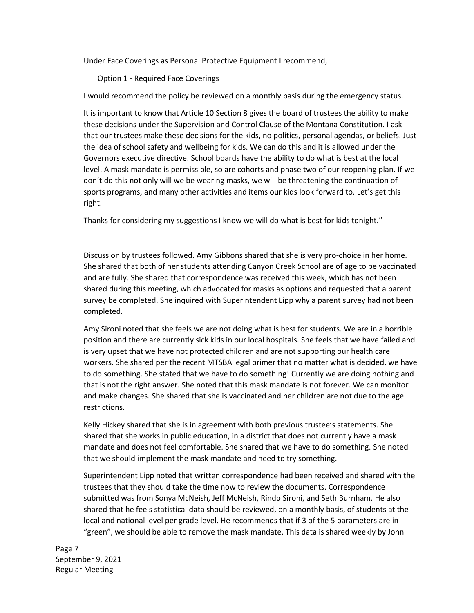Under Face Coverings as Personal Protective Equipment I recommend,

Option 1 - Required Face Coverings

I would recommend the policy be reviewed on a monthly basis during the emergency status.

It is important to know that Article 10 Section 8 gives the board of trustees the ability to make these decisions under the Supervision and Control Clause of the Montana Constitution. I ask that our trustees make these decisions for the kids, no politics, personal agendas, or beliefs. Just the idea of school safety and wellbeing for kids. We can do this and it is allowed under the Governors executive directive. School boards have the ability to do what is best at the local level. A mask mandate is permissible, so are cohorts and phase two of our reopening plan. If we don't do this not only will we be wearing masks, we will be threatening the continuation of sports programs, and many other activities and items our kids look forward to. Let's get this right.

Thanks for considering my suggestions I know we will do what is best for kids tonight."

Discussion by trustees followed. Amy Gibbons shared that she is very pro-choice in her home. She shared that both of her students attending Canyon Creek School are of age to be vaccinated and are fully. She shared that correspondence was received this week, which has not been shared during this meeting, which advocated for masks as options and requested that a parent survey be completed. She inquired with Superintendent Lipp why a parent survey had not been completed.

Amy Sironi noted that she feels we are not doing what is best for students. We are in a horrible position and there are currently sick kids in our local hospitals. She feels that we have failed and is very upset that we have not protected children and are not supporting our health care workers. She shared per the recent MTSBA legal primer that no matter what is decided, we have to do something. She stated that we have to do something! Currently we are doing nothing and that is not the right answer. She noted that this mask mandate is not forever. We can monitor and make changes. She shared that she is vaccinated and her children are not due to the age restrictions.

Kelly Hickey shared that she is in agreement with both previous trustee's statements. She shared that she works in public education, in a district that does not currently have a mask mandate and does not feel comfortable. She shared that we have to do something. She noted that we should implement the mask mandate and need to try something.

Superintendent Lipp noted that written correspondence had been received and shared with the trustees that they should take the time now to review the documents. Correspondence submitted was from Sonya McNeish, Jeff McNeish, Rindo Sironi, and Seth Burnham. He also shared that he feels statistical data should be reviewed, on a monthly basis, of students at the local and national level per grade level. He recommends that if 3 of the 5 parameters are in "green", we should be able to remove the mask mandate. This data is shared weekly by John

Page 7 September 9, 2021 Regular Meeting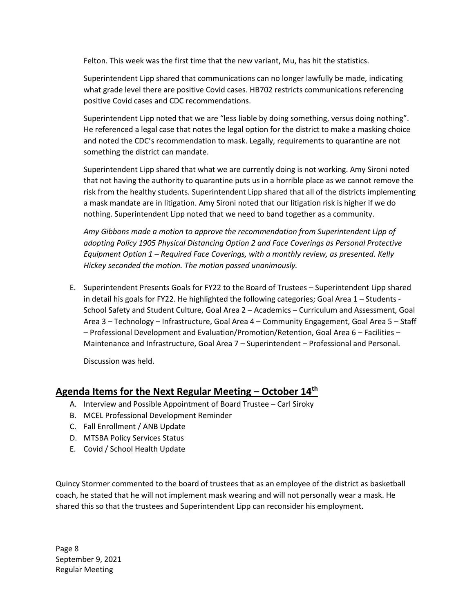Felton. This week was the first time that the new variant, Mu, has hit the statistics.

Superintendent Lipp shared that communications can no longer lawfully be made, indicating what grade level there are positive Covid cases. HB702 restricts communications referencing positive Covid cases and CDC recommendations.

Superintendent Lipp noted that we are "less liable by doing something, versus doing nothing". He referenced a legal case that notes the legal option for the district to make a masking choice and noted the CDC's recommendation to mask. Legally, requirements to quarantine are not something the district can mandate.

Superintendent Lipp shared that what we are currently doing is not working. Amy Sironi noted that not having the authority to quarantine puts us in a horrible place as we cannot remove the risk from the healthy students. Superintendent Lipp shared that all of the districts implementing a mask mandate are in litigation. Amy Sironi noted that our litigation risk is higher if we do nothing. Superintendent Lipp noted that we need to band together as a community.

*Amy Gibbons made a motion to approve the recommendation from Superintendent Lipp of adopting Policy 1905 Physical Distancing Option 2 and Face Coverings as Personal Protective Equipment Option 1 – Required Face Coverings, with a monthly review, as presented. Kelly Hickey seconded the motion. The motion passed unanimously.*

E. Superintendent Presents Goals for FY22 to the Board of Trustees – Superintendent Lipp shared in detail his goals for FY22. He highlighted the following categories; Goal Area 1 – Students - School Safety and Student Culture, Goal Area 2 – Academics – Curriculum and Assessment, Goal Area 3 – Technology – Infrastructure, Goal Area 4 – Community Engagement, Goal Area 5 – Staff – Professional Development and Evaluation/Promotion/Retention, Goal Area 6 – Facilities – Maintenance and Infrastructure, Goal Area 7 – Superintendent – Professional and Personal.

Discussion was held.

## **Agenda Items for the Next Regular Meeting – October 14th**

- A. Interview and Possible Appointment of Board Trustee Carl Siroky
- B. MCEL Professional Development Reminder
- C. Fall Enrollment / ANB Update
- D. MTSBA Policy Services Status
- E. Covid / School Health Update

Quincy Stormer commented to the board of trustees that as an employee of the district as basketball coach, he stated that he will not implement mask wearing and will not personally wear a mask. He shared this so that the trustees and Superintendent Lipp can reconsider his employment.

Page 8 September 9, 2021 Regular Meeting